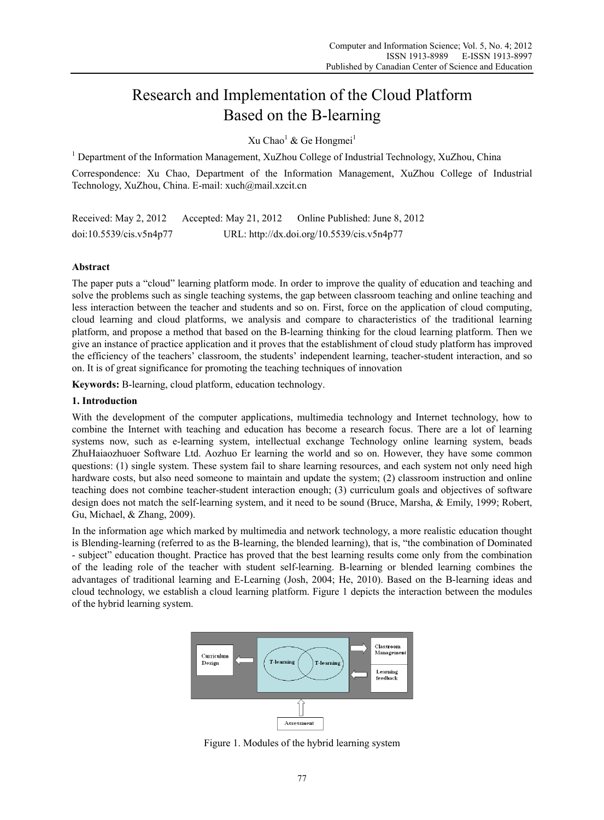# Research and Implementation of the Cloud Platform Based on the B-learning

 $Xu$  Chao<sup>1</sup> & Ge Hongmei<sup>1</sup>

<sup>1</sup> Department of the Information Management, XuZhou College of Industrial Technology, XuZhou, China

Correspondence: Xu Chao, Department of the Information Management, XuZhou College of Industrial Technology, XuZhou, China. E-mail: xuch@mail.xzcit.cn

Received: May 2, 2012 Accepted: May 21, 2012 Online Published: June 8, 2012 doi:10.5539/cis.v5n4p77 URL: http://dx.doi.org/10.5539/cis.v5n4p77

## **Abstract**

The paper puts a "cloud" learning platform mode. In order to improve the quality of education and teaching and solve the problems such as single teaching systems, the gap between classroom teaching and online teaching and less interaction between the teacher and students and so on. First, force on the application of cloud computing, cloud learning and cloud platforms, we analysis and compare to characteristics of the traditional learning platform, and propose a method that based on the B-learning thinking for the cloud learning platform. Then we give an instance of practice application and it proves that the establishment of cloud study platform has improved the efficiency of the teachers' classroom, the students' independent learning, teacher-student interaction, and so on. It is of great significance for promoting the teaching techniques of innovation

**Keywords:** B-learning, cloud platform, education technology.

#### **1. Introduction**

With the development of the computer applications, multimedia technology and Internet technology, how to combine the Internet with teaching and education has become a research focus. There are a lot of learning systems now, such as e-learning system, intellectual exchange Technology online learning system, beads ZhuHaiaozhuoer Software Ltd. Aozhuo Er learning the world and so on. However, they have some common questions: (1) single system. These system fail to share learning resources, and each system not only need high hardware costs, but also need someone to maintain and update the system; (2) classroom instruction and online teaching does not combine teacher-student interaction enough; (3) curriculum goals and objectives of software design does not match the self-learning system, and it need to be sound (Bruce, Marsha, & Emily, 1999; Robert, Gu, Michael, & Zhang, 2009).

In the information age which marked by multimedia and network technology, a more realistic education thought is Blending-learning (referred to as the B-learning, the blended learning), that is, "the combination of Dominated - subject" education thought. Practice has proved that the best learning results come only from the combination of the leading role of the teacher with student self-learning. B-learning or blended learning combines the advantages of traditional learning and E-Learning (Josh, 2004; He, 2010). Based on the B-learning ideas and cloud technology, we establish a cloud learning platform. Figure 1 depicts the interaction between the modules of the hybrid learning system.



Figure 1. Modules of the hybrid learning system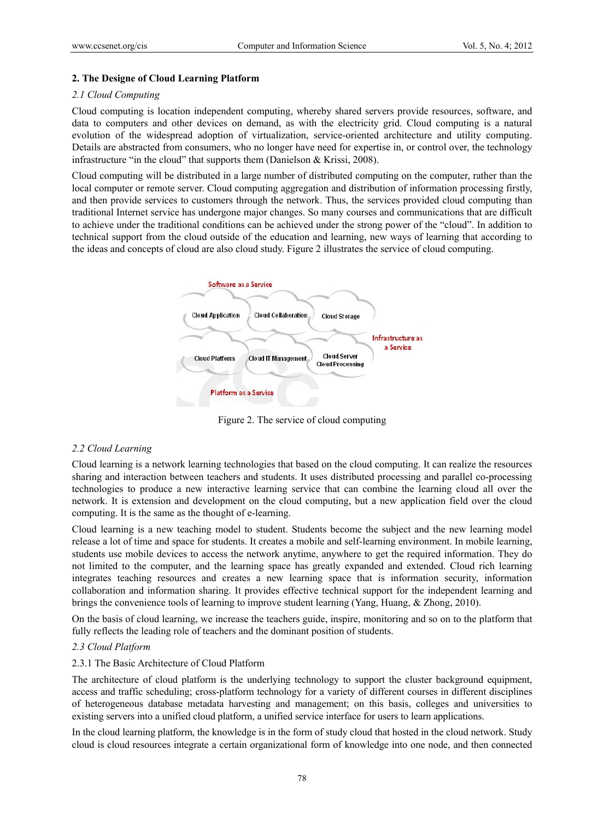## **2. The Designe of Cloud Learning Platform**

#### *2.1 Cloud Computing*

Cloud computing is location independent computing, whereby shared servers provide resources, software, and data to computers and other devices on demand, as with the electricity grid. Cloud computing is a natural evolution of the widespread adoption of virtualization, service-oriented architecture and utility computing. Details are abstracted from consumers, who no longer have need for expertise in, or control over, the technology infrastructure "in the cloud" that supports them (Danielson & Krissi, 2008).

Cloud computing will be distributed in a large number of distributed computing on the computer, rather than the local computer or remote server. Cloud computing aggregation and distribution of information processing firstly, and then provide services to customers through the network. Thus, the services provided cloud computing than traditional Internet service has undergone major changes. So many courses and communications that are difficult to achieve under the traditional conditions can be achieved under the strong power of the "cloud". In addition to technical support from the cloud outside of the education and learning, new ways of learning that according to the ideas and concepts of cloud are also cloud study. Figure 2 illustrates the service of cloud computing.



Figure 2. The service of cloud computing

## *2.2 Cloud Learning*

Cloud learning is a network learning technologies that based on the cloud computing. It can realize the resources sharing and interaction between teachers and students. It uses distributed processing and parallel co-processing technologies to produce a new interactive learning service that can combine the learning cloud all over the network. It is extension and development on the cloud computing, but a new application field over the cloud computing. It is the same as the thought of e-learning.

Cloud learning is a new teaching model to student. Students become the subject and the new learning model release a lot of time and space for students. It creates a mobile and self-learning environment. In mobile learning, students use mobile devices to access the network anytime, anywhere to get the required information. They do not limited to the computer, and the learning space has greatly expanded and extended. Cloud rich learning integrates teaching resources and creates a new learning space that is information security, information collaboration and information sharing. It provides effective technical support for the independent learning and brings the convenience tools of learning to improve student learning (Yang, Huang, & Zhong, 2010).

On the basis of cloud learning, we increase the teachers guide, inspire, monitoring and so on to the platform that fully reflects the leading role of teachers and the dominant position of students.

#### *2.3 Cloud Platform*

## 2.3.1 The Basic Architecture of Cloud Platform

The architecture of cloud platform is the underlying technology to support the cluster background equipment, access and traffic scheduling; cross-platform technology for a variety of different courses in different disciplines of heterogeneous database metadata harvesting and management; on this basis, colleges and universities to existing servers into a unified cloud platform, a unified service interface for users to learn applications.

In the cloud learning platform, the knowledge is in the form of study cloud that hosted in the cloud network. Study cloud is cloud resources integrate a certain organizational form of knowledge into one node, and then connected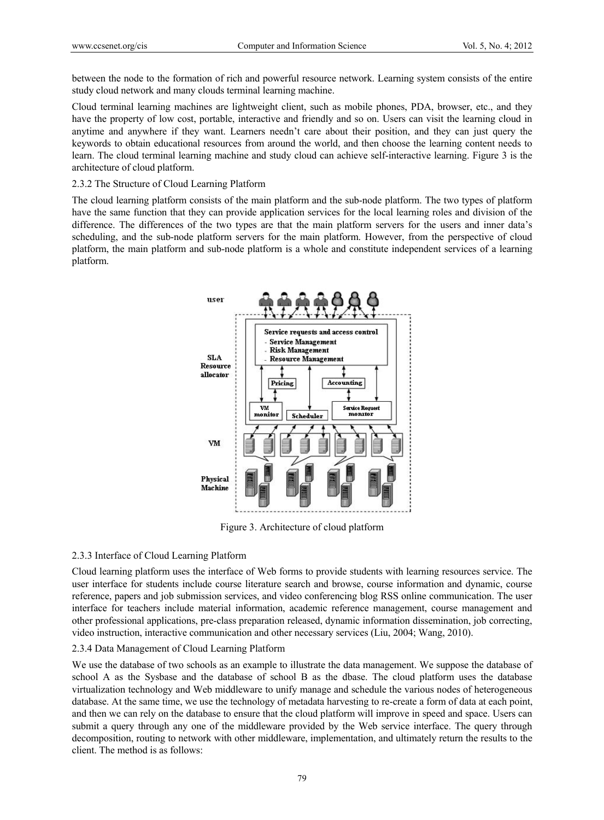between the node to the formation of rich and powerful resource network. Learning system consists of the entire study cloud network and many clouds terminal learning machine.

Cloud terminal learning machines are lightweight client, such as mobile phones, PDA, browser, etc., and they have the property of low cost, portable, interactive and friendly and so on. Users can visit the learning cloud in anytime and anywhere if they want. Learners needn't care about their position, and they can just query the keywords to obtain educational resources from around the world, and then choose the learning content needs to learn. The cloud terminal learning machine and study cloud can achieve self-interactive learning. Figure 3 is the architecture of cloud platform.

## 2.3.2 The Structure of Cloud Learning Platform

The cloud learning platform consists of the main platform and the sub-node platform. The two types of platform have the same function that they can provide application services for the local learning roles and division of the difference. The differences of the two types are that the main platform servers for the users and inner data's scheduling, and the sub-node platform servers for the main platform. However, from the perspective of cloud platform, the main platform and sub-node platform is a whole and constitute independent services of a learning platform.



Figure 3. Architecture of cloud platform

## 2.3.3 Interface of Cloud Learning Platform

Cloud learning platform uses the interface of Web forms to provide students with learning resources service. The user interface for students include course literature search and browse, course information and dynamic, course reference, papers and job submission services, and video conferencing blog RSS online communication. The user interface for teachers include material information, academic reference management, course management and other professional applications, pre-class preparation released, dynamic information dissemination, job correcting, video instruction, interactive communication and other necessary services (Liu, 2004; Wang, 2010).

## 2.3.4 Data Management of Cloud Learning Platform

We use the database of two schools as an example to illustrate the data management. We suppose the database of school A as the Sysbase and the database of school B as the dbase. The cloud platform uses the database virtualization technology and Web middleware to unify manage and schedule the various nodes of heterogeneous database. At the same time, we use the technology of metadata harvesting to re-create a form of data at each point, and then we can rely on the database to ensure that the cloud platform will improve in speed and space. Users can submit a query through any one of the middleware provided by the Web service interface. The query through decomposition, routing to network with other middleware, implementation, and ultimately return the results to the client. The method is as follows: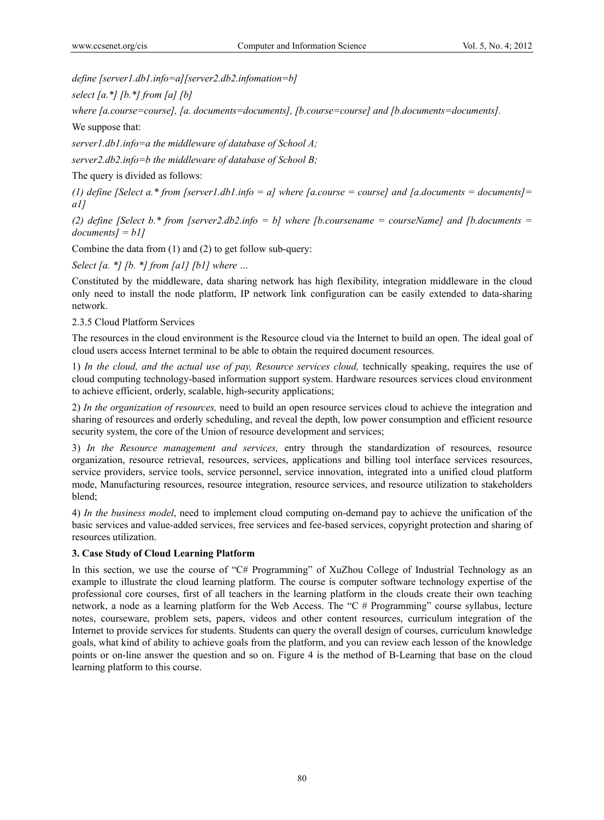*define [server1.db1.info=a][server2.db2.infomation=b]* 

*select [a.\*] [b.\*] from [a] [b]* 

*where [a.course=course], [a. documents=documents], [b.course=course] and [b.documents=documents].*

We suppose that:

*server1.db1.info=a the middleware of database of School A;* 

*server2.db2.info=b the middleware of database of School B;* 

The query is divided as follows:

*(1) define [Select a.\* from [server1.db1.info = a] where [a.course = course] and [a.documents = documents]= a1]* 

(2) define [Select b.\* from [server2.db2.info = b] where [b.coursename = courseName] and [b.documents = *documents] = b1]* 

Combine the data from (1) and (2) to get follow sub-query:

*Select [a. \*] [b. \*] from [a1] [b1] where …* 

Constituted by the middleware, data sharing network has high flexibility, integration middleware in the cloud only need to install the node platform, IP network link configuration can be easily extended to data-sharing network.

2.3.5 Cloud Platform Services

The resources in the cloud environment is the Resource cloud via the Internet to build an open. The ideal goal of cloud users access Internet terminal to be able to obtain the required document resources.

1) *In the cloud, and the actual use of pay, Resource services cloud,* technically speaking, requires the use of cloud computing technology-based information support system. Hardware resources services cloud environment to achieve efficient, orderly, scalable, high-security applications;

2) *In the organization of resources,* need to build an open resource services cloud to achieve the integration and sharing of resources and orderly scheduling, and reveal the depth, low power consumption and efficient resource security system, the core of the Union of resource development and services;

3) *In the Resource management and services,* entry through the standardization of resources, resource organization, resource retrieval, resources, services, applications and billing tool interface services resources, service providers, service tools, service personnel, service innovation, integrated into a unified cloud platform mode, Manufacturing resources, resource integration, resource services, and resource utilization to stakeholders blend;

4) *In the business model*, need to implement cloud computing on-demand pay to achieve the unification of the basic services and value-added services, free services and fee-based services, copyright protection and sharing of resources utilization.

## **3. Case Study of Cloud Learning Platform**

In this section, we use the course of "C# Programming" of XuZhou College of Industrial Technology as an example to illustrate the cloud learning platform. The course is computer software technology expertise of the professional core courses, first of all teachers in the learning platform in the clouds create their own teaching network, a node as a learning platform for the Web Access. The "C # Programming" course syllabus, lecture notes, courseware, problem sets, papers, videos and other content resources, curriculum integration of the Internet to provide services for students. Students can query the overall design of courses, curriculum knowledge goals, what kind of ability to achieve goals from the platform, and you can review each lesson of the knowledge points or on-line answer the question and so on. Figure 4 is the method of B-Learning that base on the cloud learning platform to this course.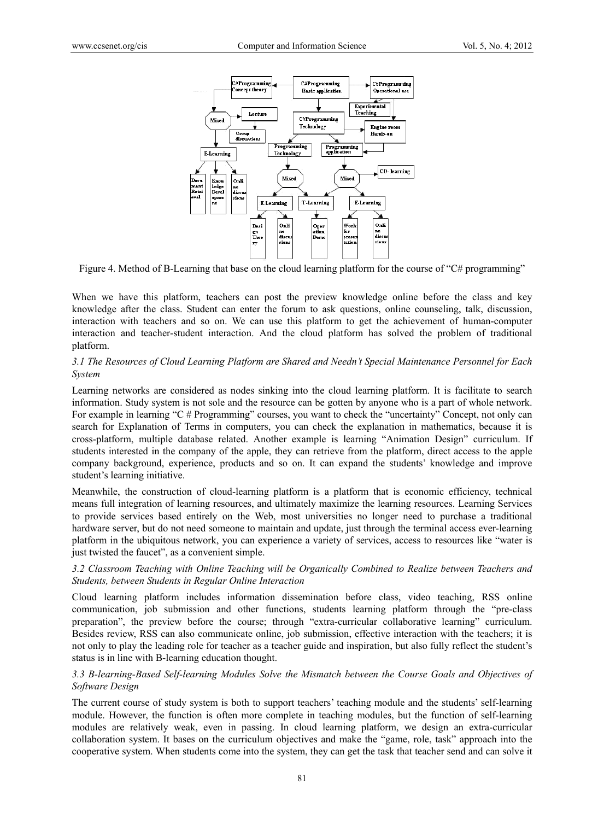

Figure 4. Method of B-Learning that base on the cloud learning platform for the course of "C# programming"

When we have this platform, teachers can post the preview knowledge online before the class and key knowledge after the class. Student can enter the forum to ask questions, online counseling, talk, discussion, interaction with teachers and so on. We can use this platform to get the achievement of human-computer interaction and teacher-student interaction. And the cloud platform has solved the problem of traditional platform.

## *3.1 The Resources of Cloud Learning Platform are Shared and Needn't Special Maintenance Personnel for Each System*

Learning networks are considered as nodes sinking into the cloud learning platform. It is facilitate to search information. Study system is not sole and the resource can be gotten by anyone who is a part of whole network. For example in learning "C # Programming" courses, you want to check the "uncertainty" Concept, not only can search for Explanation of Terms in computers, you can check the explanation in mathematics, because it is cross-platform, multiple database related. Another example is learning "Animation Design" curriculum. If students interested in the company of the apple, they can retrieve from the platform, direct access to the apple company background, experience, products and so on. It can expand the students' knowledge and improve student's learning initiative.

Meanwhile, the construction of cloud-learning platform is a platform that is economic efficiency, technical means full integration of learning resources, and ultimately maximize the learning resources. Learning Services to provide services based entirely on the Web, most universities no longer need to purchase a traditional hardware server, but do not need someone to maintain and update, just through the terminal access ever-learning platform in the ubiquitous network, you can experience a variety of services, access to resources like "water is just twisted the faucet", as a convenient simple.

## *3.2 Classroom Teaching with Online Teaching will be Organically Combined to Realize between Teachers and Students, between Students in Regular Online Interaction*

Cloud learning platform includes information dissemination before class, video teaching, RSS online communication, job submission and other functions, students learning platform through the "pre-class preparation", the preview before the course; through "extra-curricular collaborative learning" curriculum. Besides review, RSS can also communicate online, job submission, effective interaction with the teachers; it is not only to play the leading role for teacher as a teacher guide and inspiration, but also fully reflect the student's status is in line with B-learning education thought.

## *3.3 B-learning-Based Self-learning Modules Solve the Mismatch between the Course Goals and Objectives of Software Design*

The current course of study system is both to support teachers' teaching module and the students' self-learning module. However, the function is often more complete in teaching modules, but the function of self-learning modules are relatively weak, even in passing. In cloud learning platform, we design an extra-curricular collaboration system. It bases on the curriculum objectives and make the "game, role, task" approach into the cooperative system. When students come into the system, they can get the task that teacher send and can solve it